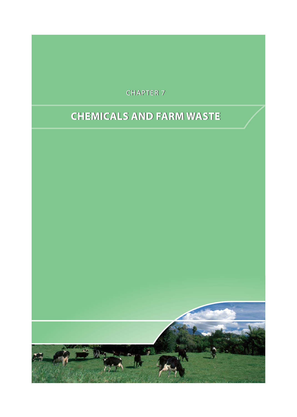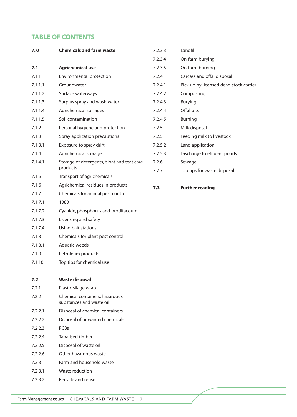# **TABLE OF CONTENTS**

| 7.0     | <b>Chemicals and farm waste</b>                            | 7.2.3.3 | Landfill                               |  |
|---------|------------------------------------------------------------|---------|----------------------------------------|--|
|         |                                                            | 7.2.3.4 | On-farm burying                        |  |
| 7.1     | <b>Agrichemical use</b>                                    | 7.2.3.5 | On-farm burning                        |  |
| 7.1.1   | Environmental protection                                   | 7.2.4   | Carcass and offal disposal             |  |
| 7.1.1.1 | Groundwater                                                | 7.2.4.1 | Pick up by licensed dead stock carrier |  |
| 7.1.1.2 | Surface waterways                                          | 7.2.4.2 | Composting                             |  |
| 7.1.1.3 | Surplus spray and wash water                               | 7.2.4.3 | Burying                                |  |
| 7.1.1.4 | Agrichemical spillages                                     | 7.2.4.4 | Offal pits                             |  |
| 7.1.1.5 | Soil contamination                                         | 7.2.4.5 | <b>Burning</b>                         |  |
| 7.1.2   | Personal hygiene and protection                            | 7.2.5   | Milk disposal                          |  |
| 7.1.3   | Spray application precautions                              | 7.2.5.1 | Feeding milk to livestock              |  |
| 7.1.3.1 | Exposure to spray drift                                    | 7.2.5.2 | Land application                       |  |
| 7.1.4   | Agrichemical storage                                       | 7.2.5.3 | Discharge to effluent ponds            |  |
| 7.1.4.1 | Storage of detergents, bloat and teat care                 | 7.2.6   | Sewage                                 |  |
|         | products                                                   | 7.2.7   | Top tips for waste disposal            |  |
| 7.1.5   | Transport of agrichemicals                                 |         |                                        |  |
| 7.1.6   | Agrichemical residues in products                          | 7.3     | <b>Further reading</b>                 |  |
| 7.1.7   | Chemicals for animal pest control                          |         |                                        |  |
| 7.1.7.1 | 1080                                                       |         |                                        |  |
| 7.1.7.2 | Cyanide, phosphorus and brodifacoum                        |         |                                        |  |
| 7.1.7.3 | Licensing and safety                                       |         |                                        |  |
| 7.1.7.4 | Using bait stations                                        |         |                                        |  |
| 7.1.8   | Chemicals for plant pest control                           |         |                                        |  |
| 7.1.8.1 | Aquatic weeds                                              |         |                                        |  |
| 7.1.9   | Petroleum products                                         |         |                                        |  |
| 7.1.10  | Top tips for chemical use                                  |         |                                        |  |
| 7.2     | <b>Waste disposal</b>                                      |         |                                        |  |
| 7.2.1   | Plastic silage wrap                                        |         |                                        |  |
| 7.2.2   | Chemical containers, hazardous<br>substances and waste oil |         |                                        |  |
| 7.2.2.1 | Disposal of chemical containers                            |         |                                        |  |
| 7.2.2.2 | Disposal of unwanted chemicals                             |         |                                        |  |
| 7.2.2.3 | <b>PCBs</b>                                                |         |                                        |  |
| 7.2.2.4 | Tanalised timber                                           |         |                                        |  |
| 7.2.2.5 | Disposal of waste oil                                      |         |                                        |  |
| 7.2.2.6 | Other hazardous waste                                      |         |                                        |  |
| 7.2.3   | Farm and household waste                                   |         |                                        |  |
| 7.2.3.1 | Waste reduction                                            |         |                                        |  |
| 7.2.3.2 | Recycle and reuse                                          |         |                                        |  |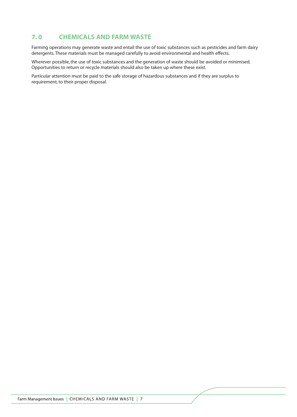# **7. 0 CHEMICALS AND FARM WASTE**

Farming operations may generate waste and entail the use of toxic substances such as pesticides and farm dairy detergents. These materials must be managed carefully to avoid environmental and health effects.

Wherever possible, the use of toxic substances and the generation of waste should be avoided or minimised. Opportunities to return or recycle materials should also be taken up where these exist.

Particular attention must be paid to the safe storage of hazardous substances and if they are surplus to requirement, to their proper disposal.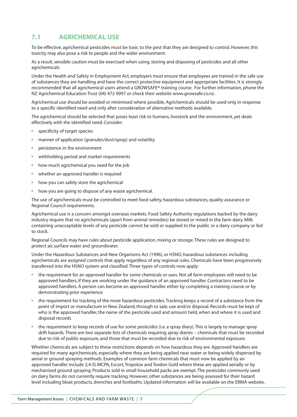# **7.1 AGRICHEMICAL USE**

To be effective, agrichemical pesticides must be toxic to the pest that they are designed to control. However, this toxicity may also pose a risk to people and the wider environment.

As a result, sensible caution must be exercised when using, storing and disposing of pesticides and all other agrichemicals.

Under the Health and Safety in Employment Act, employers must ensure that employees are trained in the safe use of substances they are handling and have the correct protective equipment and appropriate facilities. It is strongly recommended that all agrichemical users attend a GROWSAFE® training course. For further information, phone the NZ Agrichemical Education Trust (04) 472 9997 or check their website www.growsafe.co.nz .

Agrichemical use should be avoided or minimised where possible. Agrichemicals should be used only in response to a specific identified need and only after consideration of alternative methods available.

The agrichemical should be selected that poses least risk to humans, livestock and the environment, yet deals effectively with the identified need. Consider:

- specificity of target species
- manner of application (granules/dust/spray) and volatility
- persistence in the environment
- withholding period and market requirements
- how much agrichemical you need for the job
- whether an approved handler is required
- how you can safely store the agrichemical
- how you are going to dispose of any waste agrichemical.

The use of agrichemicals must be controlled to meet food safety, hazardous substances, quality assurance or Regional Council requirements.

Agrichemical use is a concern amongst overseas markets. Food Safety Authority regulations backed by the dairy industry require that no agrichemicals (apart from animal remedies) be stored or mixed in the farm dairy. Milk containing unacceptable levels of any pesticide cannot be sold or supplied to the public or a dairy company or fed to stock.

Regional Councils may have rules about pesticide application, mixing or storage. These rules are designed to protect air, surface water and groundwater.

Under the Hazardous Substances and New Organisms Act (1996), or HSNO, hazardous substances including agrichemicals are assigned controls that apply regardless of any regional rules. Chemicals have been progressively transferred into the HSNO system and classified. Three types of controls now apply:

- the requirement for an approved handler for some chemicals or uses. Not all farm employees will need to be approved handlers, if they are working under the guidance of an approved handler. Contractors need to be approved handlers. A person can become an approved handler either by completing a training course or by demonstrating prior experience
- the requirement for tracking of the more hazardous pesticides. Tracking keeps a record of a substance from the point of import or manufacture in New Zealand, through to sale, use and/or disposal. Records must be kept of who is the approved handler, the name of the pesticide used and amount held, when and where it is used and disposal records
- the requirement to keep records of use for some pesticides (i.e. a spray diary). This is largely to manage spray drift hazards. There are two separate lists of chemicals requiring spray diaries – chemicals that must be recorded due to risk of public exposure, and those that must be recorded due to risk of environmental exposure.

Whether chemicals are subject to these restrictions depends on how hazardous they are. Approved handlers are required for many agrichemicals, especially where they are being applied near water or being widely dispersed by aerial or ground spraying methods. Examples of common farm chemicals that must now be applied by an approved handler include 2,4-D, MCPA, Escort, Tropotox and Tordon Gold where these are applied aerially or by mechanised ground spraying. Products sold in small household packs are exempt. The pesticides commonly used on dairy farms do not currently require tracking. However, other substances are being assessed for their hazard level including bloat products, drenches and footbaths. Updated information will be available on the ERMA website.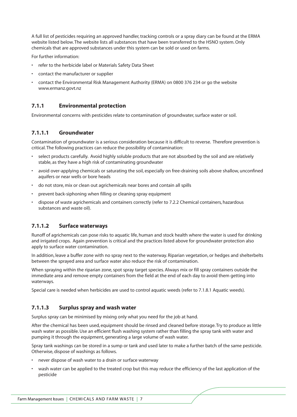A full list of pesticides requiring an approved handler, tracking controls or a spray diary can be found at the ERMA website listed below. The website lists all substances that have been transferred to the HSNO system. Only chemicals that are approved substances under this system can be sold or used on farms.

For further information:

- refer to the herbicide label or Materials Safety Data Sheet
- contact the manufacturer or supplier
- contact the Environmental Risk Management Authority (ERMA) on 0800 376 234 or go the website www.ermanz.govt.nz

#### **7.1.1 Environmental protection**

Environmental concerns with pesticides relate to contamination of groundwater, surface water or soil.

#### **7.1.1.1 Groundwater**

Contamination of groundwater is a serious consideration because it is difficult to reverse. Therefore prevention is critical. The following practices can reduce the possibility of contamination:

- select products carefully. Avoid highly soluble products that are not absorbed by the soil and are relatively stable, as they have a high risk of contaminating groundwater
- avoid over-applying chemicals or saturating the soil, especially on free-draining soils above shallow, unconfined aquifers or near wells or bore heads
- do not store, mix or clean out agrichemicals near bores and contain all spills
- prevent back-siphoning when filling or cleaning spray equipment
- dispose of waste agrichemicals and containers correctly (refer to 7.2.2 Chemical containers, hazardous substances and waste oil).

#### **7.1.1.2 Surface waterways**

Runoff of agrichemicals can pose risks to aquatic life, human and stock health where the water is used for drinking and irrigated crops. Again prevention is critical and the practices listed above for groundwater protection also apply to surface water contamination.

In addition, leave a buffer zone with no spray next to the waterway. Riparian vegetation, or hedges and shelterbelts between the sprayed area and surface water also reduce the risk of contamination.

When spraying within the riparian zone, spot spray target species. Always mix or fill spray containers outside the immediate area and remove empty containers from the field at the end of each day to avoid them getting into waterways.

Special care is needed when herbicides are used to control aquatic weeds (refer to 7.1.8.1 Aquatic weeds).

#### **7.1.1.3 Surplus spray and wash water**

Surplus spray can be minimised by mixing only what you need for the job at hand.

After the chemical has been used, equipment should be rinsed and cleaned before storage. Try to produce as little wash water as possible. Use an efficient flush washing system rather than filling the spray tank with water and pumping it through the equipment, generating a large volume of wash water.

Spray tank washings can be stored in a sump or tank and used later to make a further batch of the same pesticide. Otherwise, dispose of washings as follows.

- never dispose of wash water to a drain or surface waterway
- wash water can be applied to the treated crop but this may reduce the efficiency of the last application of the pesticide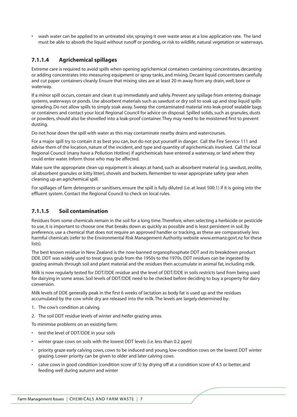• wash water can be applied to an untreated site, spraying it over waste areas at a low application rate. The land must be able to absorb the liquid without runoff or ponding, or risk to wildlife, natural vegetation or waterways.

# **7.1.1.4 Agrichemical spillages**

Extreme care is required to avoid spills when opening agrichemical containers containing concentrates, decanting or adding concentrates into measuring equipment or spray tanks, and mixing. Decant liquid concentrates carefully and cut paper containers cleanly. Ensure that mixing sites are at least 20 m away from any drain, well, bore or waterway.

If a minor spill occurs, contain and clean it up immediately and safely. Prevent any spillage from entering drainage systems, waterways or ponds. Use absorbent materials such as sawdust or dry soil to soak up and stop liquid spills spreading. Do not allow spills to simply soak away. Sweep the contaminated material into leak-proof sealable bags or containers and contact your local Regional Council for advice on disposal. Spilled solids, such as granules, dusts or powders, should also be shovelled into a leak-proof container. They may need to be moistened first to prevent dusting.

Do not hose down the spill with water as this may contaminate nearby drains and watercourses.

For a major spill try to contain it as best you can, but do not put yourself in danger. Call the Fire Service 111 and advise them of the location, nature of the incident, and type and quantity of agrichemicals involved. Call the local Regional Council (many have a Pollution Hotline) if agrichemicals have entered a waterway, or land where they could enter water. Inform those who may be affected.

Make sure the appropriate clean-up equipment is always at hand, such as absorbent material (e.g. sawdust, zeolite, oil absorbent granules or kitty litter), shovels and buckets. Remember to wear appropriate safety gear when cleaning up an agrichemical spill.

For spillages of farm detergents or sanitisers, ensure the spill is fully diluted (i.e. at least 500:1) if it is going into the effluent system. Contact the Regional Council to check on local rules.

# **7.1.1.5 Soil contamination**

Residues from some chemicals remain in the soil for a long time. Therefore, when selecting a herbicide or pesticide to use, it is important to choose one that breaks down as quickly as possible and is least persistent in soil. By preference, use a chemical that does not require an approved handler or tracking, as these are comparatively less harmful chemicals (refer to the Environmental Risk Management Authority website www.ermanz.govt.nz for these lists).

The best known residue in New Zealand is the now-banned organophosphate DDT and its breakdown product DDE. DDT was widely used to treat grass grub from the 1950s to the 1970s. DDT residues can be ingested by grazing animals through soil and plant material and the residues then accumulate in animal fat, including milk.

Milk is now regularly tested for DDT/DDE residue and the level of DDT/DDE in soils restricts land from being used for dairying in some areas. Soil levels of DDT/DDE need to be checked before deciding to buy a property for dairy conversion.

Milk levels of DDE generally peak in the first 6 weeks of lactation as body fat is used up and the residues accumulated by the cow while dry are released into the milk. The levels are largely determined by:

- 1. The cow's condition at calving.
- 2. The soil DDT residue levels of winter and heifer grazing areas.

To minimise problems on an existing farm:

- test the level of DDT/DDE in your soils
- winter graze cows on soils with the lowest DDT levels (i.e. less than 0.2 ppm)
- priority graze early calving cows, cows to be induced and young, low-condition cows on the lowest DDT winter grazing. Lower priority can be given to older and later calving cows
- calve cows in good condition (condition score of 5) by drying off at a condition score of 4.5 or better, and feeding well during autumn and winter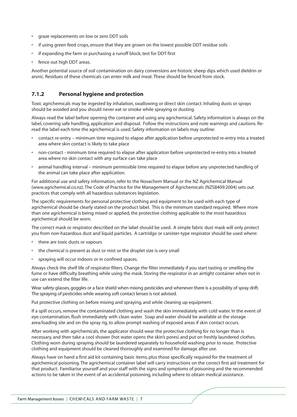- graze replacements on low or zero DDT soils
- if using green feed crops, ensure that they are grown on the lowest possible DDT residue soils
- if expanding the farm or purchasing a runoff block, test for DDT first
- fence out high DDT areas.

Another potential source of soil contamination on dairy conversions are historic sheep dips which used dieldrin or arsnic. Residues of these chemicals can enter milk and meat. These should be fenced from stock.

### **7.1.2 Personal hygiene and protection**

Toxic agrichemicals may be ingested by inhalation, swallowing or direct skin contact. Inhaling dusts or sprays should be avoided and you should never eat or smoke while spraying or dusting.

Always read the label before opening the container and using any agrichemical. Safety information is always on the label, covering safe handling, application and disposal. Follow the instructions and note warnings and cautions. Reread the label each time the agrichemical is used. Safety information on labels may outline:

- contact re-entry minimum time required to elapse after application before unprotected re-entry into a treated area where skin contact is likely to take place
- non-contact minimum time required to elapse after application before unprotected re-entry into a treated area where no skin contact with any surface can take place
- animal handling interval minimum permissible time required to elapse before any unprotected handling of the animal can take place after application.

For additional use and safety information, refer to the Novachem Manual or the NZ Agrichemical Manual (www.agrichemical.co.nz). The Code of Practice for the Management of Agrichemicals (NZS8409:2004) sets out practices that comply with all hazardous substances legislation.

The specific requirements for personal protective clothing and equipment to be used with each type of agrichemical should be clearly stated on the product label. This is the minimum standard required. Where more than one agrichemical is being mixed or applied, the protective clothing applicable to the most hazardous agrichemical should be worn.

The correct mask or respirator described on the label should be used. A simple fabric dust mask will only protect you from non-hazardous dust and liquid particles. A cartridge or canister-type respirator should be used where:

- there are toxic dusts or vapours
- the chemical is present as dust or mist or the droplet size is very small
- spraying will occur indoors or in confined spaces.

Always check the shelf life of respirator filters. Change the filter immediately if you start tasting or smelling the fume or have difficulty breathing while using the mask. Storing the respirator in an airtight container when not in use can extend the filter life.

Wear safety glasses, goggles or a face shield when mixing pesticides and whenever there is a possibility of spray drift. The spraying of pesticides while wearing soft contact lenses is not advised.

Put protective clothing on before mixing and spraying, and while cleaning up equipment.

If a spill occurs, remove the contaminated clothing and wash the skin immediately with cold water. In the event of eye contamination, flush immediately with clean water. Soap and water should be available at the storage area/loading site and on the spray rig, to allow prompt washing of exposed areas if skin contact occurs.

After working with agrichemicals, the applicator should wear the protective clothing for no longer than is necessary, and then take a cool shower (hot water opens the skin's pores) and put on freshly laundered clothes. Clothing worn during spraying should be laundered separately to household washing prior to reuse. Protective clothing and equipment should be cleaned thoroughly and examined for damage after use.

Always have on hand a first aid kit containing basic items, plus those specifically required for the treatment of agrichemical poisoning. The agrichemical container label will carry instructions on the correct first aid treatment for that product. Familiarise yourself and your staff with the signs and symptoms of poisoning and the recommended actions to be taken in the event of an accidental poisoning, including where to obtain medical assistance.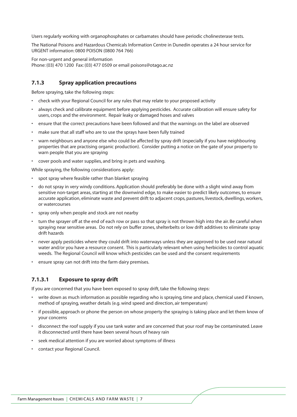Users regularly working with organophosphates or carbamates should have periodic cholinesterase tests.

The National Poisons and Hazardous Chemicals Information Centre in Dunedin operates a 24 hour service for URGENT information: 0800 POISON (0800 764 766)

For non-urgent and general information

Phone: (03) 470 1200 Fax: (03) 477 0509 or email poisons@otago.ac.nz

### **7.1.3 Spray application precautions**

Before spraying, take the following steps:

- check with your Regional Council for any rules that may relate to your proposed activity
- always check and calibrate equipment before applying pesticides. Accurate calibration will ensure safety for users, crops and the environment. Repair leaky or damaged hoses and valves
- ensure that the correct precautions have been followed and that the warnings on the label are observed
- make sure that all staff who are to use the sprays have been fully trained
- warn neighbours and anyone else who could be affected by spray drift (especially if you have neighbouring properties that are practising organic production). Consider putting a notice on the gate of your property to warn people that you are spraying
- cover pools and water supplies, and bring in pets and washing.

While spraying, the following considerations apply:

- spot spray where feasible rather than blanket spraying
- do not spray in very windy conditions. Application should preferably be done with a slight wind away from sensitive non-target areas, starting at the downwind edge, to make easier to predict likely outcomes, to ensure accurate application, eliminate waste and prevent drift to adjacent crops, pastures, livestock, dwellings, workers, or watercourses
- spray only when people and stock are not nearby
- turn the sprayer off at the end of each row or pass so that spray is not thrown high into the air. Be careful when spraying near sensitive areas. Do not rely on buffer zones, shelterbelts or low drift additives to eliminate spray drift hazards
- never apply pesticides where they could drift into waterways unless they are approved to be used near natural water and/or you have a resource consent. This is particularly relevant when using herbicides to control aquatic weeds. The Regional Council will know which pesticides can be used and the consent requirements
- ensure spray can not drift into the farm dairy premises.

# **7.1.3.1 Exposure to spray drift**

If you are concerned that you have been exposed to spray drift, take the following steps:

- write down as much information as possible regarding who is spraying, time and place, chemical used if known, method of spraying, weather details (e.g. wind speed and direction, air temperature)
- if possible, approach or phone the person on whose property the spraying is taking place and let them know of your concerns
- disconnect the roof supply if you use tank water and are concerned that your roof may be contaminated. Leave it disconnected until there have been several hours of heavy rain
- seek medical attention if you are worried about symptoms of illness
- contact your Regional Council.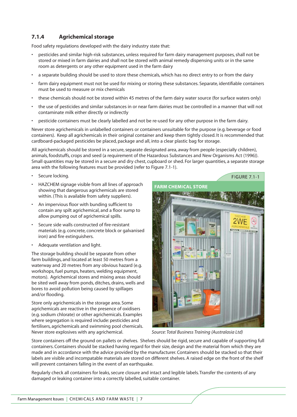# **7.1.4 Agrichemical storage**

Food safety regulations developed with the dairy industry state that:

- pesticides and similar high-risk substances, unless required for farm dairy management purposes, shall not be stored or mixed in farm dairies and shall not be stored with animal remedy dispensing units or in the same room as detergents or any other equipment used in the farm dairy
- a separate building should be used to store these chemicals, which has no direct entry to or from the dairy
- farm dairy equipment must not be used for mixing or storing these substances. Separate, identifiable containers must be used to measure or mix chemicals
- these chemicals should not be stored within 45 metres of the farm dairy water source (for surface waters only)
- the use of pesticides and similar substances in or near farm dairies must be controlled in a manner that will not contaminate milk either directly or indirectly
- pesticide containers must be clearly labelled and not be re-used for any other purpose in the farm dairy.

Never store agrichemicals in unlabelled containers or containers unsuitable for the purpose (e.g. beverage or food containers). Keep all agrichemicals in their original container and keep them tightly closed. It is recommended that cardboard-packaged pesticides be placed, package and all, into a clear plastic bag for storage.

All agrichemicals should be stored in a secure, separate designated area, away from people (especially children), animals, foodstuffs, crops and seed (a requirement of the Hazardous Substances and New Organisms Act (1996)). Small quantities may be stored in a secure and dry chest, cupboard or shed. For larger quantities, a separate storage area with the following features must be provided (refer to Figure 7.1-1).

- Secure locking.
- HAZCHEM signage visible from all lines of approach showing that dangerous agrichemicals are stored within. (This is available from safety suppliers).
- An impervious floor with bunding sufficient to contain any spilt agrichemical, and a floor sump to allow pumping out of agrichemical spills.
- Secure side walls constructed of fire-resistant materials (e.g. concrete, concrete block or galvanised iron) and fire extinguishers.
- Adequate ventilation and light.

The storage building should be separate from other farm buildings, and located at least 50 metres from a waterway and 20 metres from any obvious hazard (e.g. workshops, fuel pumps, heaters, welding equipment, motors). Agrichemical stores and mixing areas should be sited well away from ponds, ditches, drains, wells and bores to avoid pollution being caused by spillages and/or flooding.

Store only agrichemicals in the storage area. Some agrichemicals are reactive in the presence of oxidisers (e.g. sodium chlorate) or other agrichemicals. Examples where segregation is required include: pesticides and fertilisers, agrichemicals and swimming pool chemicals. Never store explosives with any agrichemical.



*Source: Total Business Training (Australasia Ltd)*

Store containers off the ground on pallets or shelves. Shelves should be rigid, secure and capable of supporting full containers. Containers should be stacked having regard for their size, design and the material from which they are made and in accordance with the advice provided by the manufacturer. Containers should be stacked so that their labels are visible and incompatable materials are stored on different shelves. A raised edge on the front of the shelf will prevent containers falling in the event of an earthquake.

Regularly check all containers for leaks, secure closure and intact and legible labels. Transfer the contents of any damaged or leaking container into a correctly labelled, suitable container.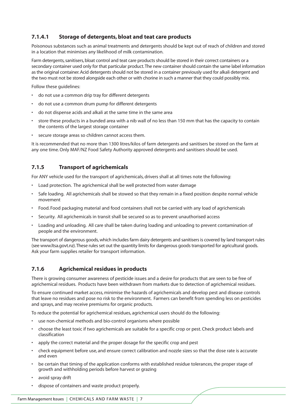# **7.1.4.1 Storage of detergents, bloat and teat care products**

Poisonous substances such as animal treatments and detergents should be kept out of reach of children and stored in a location that minimises any likelihood of milk contamination.

Farm detergents, sanitisers, bloat control and teat care products should be stored in their correct containers or a secondary container used only for that particular product.The new container should contain the same label information as the original container. Acid detergents should not be stored in a container previously used for alkali detergent and the two must not be stored alongside each other or with chorine in such a manner that they could possibly mix.

Follow these guidelines:

- do not use a common drip tray for different detergents
- do not use a common drum pump for different detergents
- do not dispense acids and alkali at the same time in the same area
- store these products in a bunded area with a nib wall of no less than 150 mm that has the capacity to contain the contents of the largest storage container
- secure storage areas so children cannot access them.

It is recommended that no more than 1300 litres/kilos of farm detergents and sanitisers be stored on the farm at any one time. Only MAF/NZ Food Safety Authority approved detergents and sanitisers should be used.

# **7.1.5 Transport of agrichemicals**

For ANY vehicle used for the transport of agrichemicals, drivers shall at all times note the following:

- Load protection. The agrichemical shall be well protected from water damage
- Safe loading. All agrichemicals shall be stowed so that they remain in a fixed position despite normal vehicle movement
- Food. Food packaging material and food containers shall not be carried with any load of agrichemicals
- Security. All agrichemicals in transit shall be secured so as to prevent unauthorised access
- Loading and unloading. All care shall be taken during loading and unloading to prevent contamination of people and the environment.

The transport of dangerous goods, which includes farm dairy detergents and sanitisers is covered by land transport rules (see www.ltsa.govt.nz).These rules set out the quantity limits for dangerous goods transported for agricultural goods. Ask your farm supplies retailer for transport information.

#### **7.1.6 Agrichemical residues in products**

There is growing consumer awareness of pesticide issues and a desire for products that are seen to be free of agrichemical residues. Products have been withdrawn from markets due to detection of agrichemical residues.

To ensure continued market access, minimise the hazards of agrichemicals and develop pest and disease controls that leave no residues and pose no risk to the environment. Farmers can benefit from spending less on pesticides and sprays, and may receive premiums for organic products.

To reduce the potential for agrichemical residues, agrichemical users should do the following:

- use non-chemical methods and bio-control organisms where possible
- choose the least toxic if two agrichemicals are suitable for a specific crop or pest. Check product labels and classification
- apply the correct material and the proper dosage for the specific crop and pest
- check equipment before use, and ensure correct calibration and nozzle sizes so that the dose rate is accurate and even
- be certain that timing of the application conforms with established residue tolerances, the proper stage of growth and withholding periods before harvest or grazing
- avoid spray drift
- dispose of containers and waste product properly.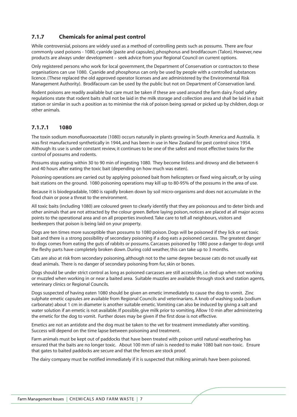# **7.1.7 Chemicals for animal pest control**

While controversial, poisons are widely used as a method of controlling pests such as possums. There are four commonly used poisons - 1080, cyanide (paste and capsules), phosphorus and brodifacoum (Talon). However, new products are always under development – seek advice from your Regional Council on current options.

Only registered persons who work for local government, the Department of Conservation or contractors to these organisations can use 1080. Cyanide and phosphorus can only be used by people with a controlled substances licence. (These replaced the old approved operator licenses and are administered by the Environmental Risk Management Authority). Brodifacoum can be used by the public but not on Department of Conservation land.

Rodent poisons are readily available but care must be taken if these are used around the farm dairy. Food safety regulations state that rodent baits shall not be laid in the milk storage and collection area and shall be laid in a bait station or similar in such a position as to minimise the risk of poison being spread or picked up by children, dogs or other animals.

### **7.1.7.1 1080**

The toxin sodium monofluoroacetate (1080) occurs naturally in plants growing in South America and Australia. It was first manufactured synthetically in 1944, and has been in use in New Zealand for pest control since 1954. Although its use is under constant review, it continues to be one of the safest and most effective toxins for the control of possums and rodents.

Possums stop eating within 30 to 90 min of ingesting 1080. They become listless and drowsy and die between 6 and 40 hours after eating the toxic bait (depending on how much was eaten).

Poisoning operations are carried out by applying poisoned bait from helicopters or fixed wing aircraft, or by using bait stations on the ground. 1080 poisoning operations may kill up to 80-95% of the possums in the area of use.

Because it is biodegradable, 1080 is rapidly broken down by soil micro-organisms and does not accumulate in the food chain or pose a threat to the environment.

All toxic baits (including 1080) are coloured green to clearly identify that they are poisonous and to deter birds and other animals that are not attracted by the colour green. Before laying poison, notices are placed at all major access points to the operational area and on all properties involved. Take care to tell all neighbours, visitors and beekeepers that poison is being laid on your property.

Dogs are ten times more susceptible than possums to 1080 poison. Dogs will be poisoned if they lick or eat toxic bait and there is a strong possibility of secondary poisoning if a dog eats a poisoned carcass. The greatest danger to dogs comes from eating the guts of rabbits or possums. Carcasses poisoned by 1080 pose a danger to dogs until the fleshy parts have completely broken down. During cold weather, this can take up to 3 months.

Cats are also at risk from secondary poisoning, although not to the same degree because cats do not usually eat dead animals. There is no danger of secondary poisoning from fur, skin or bones.

Dogs should be under strict control as long as poisoned carcasses are still accessible, i.e. tied up when not working or muzzled when working in or near a baited area. Suitable muzzles are available through stock and station agents, veterinary clinics or Regional Councils.

Dogs suspected of having eaten 1080 should be given an emetic immediately to cause the dog to vomit. Zinc sulphate emetic capsules are available from Regional Councils and veterinarians. A knob of washing soda (sodium carbonate) about 1 cm in diameter is another suitable emetic. Vomiting can also be induced by giving a salt and water solution if an emetic is not available. If possible, give milk prior to vomiting. Allow 10 min after administering the emetic for the dog to vomit. Further doses may be given if the first dose is not effective.

Emetics are not an antidote and the dog must be taken to the vet for treatment immediately after vomiting. Success will depend on the time lapse between poisoning and treatment.

Farm animals must be kept out of paddocks that have been treated with poison until natural weathering has ensured that the baits are no longer toxic. About 100 mm of rain is needed to make 1080 bait non-toxic. Ensure that gates to baited paddocks are secure and that the fences are stock proof.

The dairy company must be notified immediately if it is suspected that milking animals have been poisoned.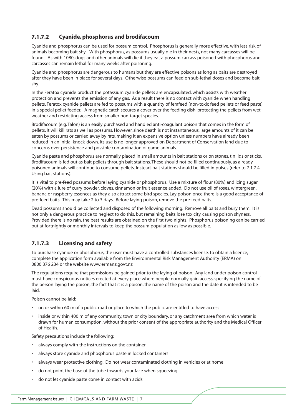# **7.1.7.2 Cyanide, phosphorus and brodifacoum**

Cyanide and phosphorus can be used for possum control. Phosphorus is generally more effective, with less risk of animals becoming bait shy. With phosphorus, as possums usually die in their nests, not many carcasses will be found. As with 1080, dogs and other animals will die if they eat a possum carcass poisoned with phosphorus and carcasses can remain lethal for many weeks after poisoning.

Cyanide and phosphorus are dangerous to humans but they are effective poisons as long as baits are destroyed after they have been in place for several days. Otherwise possums can feed on sub-lethal doses and become bait shy.

In the Feratox cyanide product the potassium cyanide pellets are encapsulated, which assists with weather protection and prevents the emission of any gas. As a result there is no contact with cyanide when handling pellets. Feratox cyanide pellets are fed to possums with a quantity of ferafeed (non-toxic feed pellets or feed paste) in a special pellet feeder. A magnetic catch secures a cover over the feeding dish, protecting the pellets from wet weather and restricting access from smaller non-target species.

Brodifacoum (e.g. Talon) is an easily purchased and handled anti-coagulant poison that comes in the form of pellets. It will kill rats as well as possums. However, since death is not instantaneous, large amounts of it can be eaten by possums or carried away by rats, making it an expensive option unless numbers have already been reduced in an initial knock-down. Its use is no longer approved on Department of Conservation land due to concerns over persistence and possible contamination of game animals.

Cyanide paste and phosphorus are normally placed in small amounts in bait stations or on stones, tin lids or sticks. Brodifacoum is fed out as bait pellets through bait stations. These should not be filled continuously, as alreadypoisoned animals will continue to consume pellets. Instead, bait stations should be filled in pulses (refer to 7.1.7.4 Using bait stations).

It is vital to pre-feed possums before laying cyanide or phosphorus. Use a mixture of flour (80%) and icing sugar (20%) with a lure of curry powder, cloves, cinnamon or fruit essence added. Do not use oil of roses, wintergreen, banana or raspberry essences as they also attract some bird species. Lay poison once there is a good acceptance of pre-feed baits. This may take 2 to 3 days. Before laying poison, remove the pre-feed baits.

Dead possums should be collected and disposed of the following morning. Remove all baits and bury them. It is not only a dangerous practice to neglect to do this, but remaining baits lose toxicity, causing poison shyness. Provided there is no rain, the best results are obtained on the first two nights. Phosphorus poisoning can be carried out at fortnightly or monthly intervals to keep the possum population as low as possible.

# **7.1.7.3 Licensing and safety**

To purchase cyanide or phosphorus, the user must have a controlled substances license. To obtain a licence, complete the application form available from the Environmental Risk Management Authority (ERMA) on 0800 376 234 or the website www.ermanz.govt.nz

The regulations require that permissions be gained prior to the laying of poison. Any land under poison control must have conspicuous notices erected at every place where people normally gain access, specifying the name of the person laying the poison, the fact that it is a poison, the name of the poison and the date it is intended to be laid.

Poison cannot be laid:

- on or within 60 m of a public road or place to which the public are entitled to have access
- inside or within 400 m of any community, town or city boundary, or any catchment area from which water is drawn for human consumption, without the prior consent of the appropriate authority and the Medical Officer of Health.

Safety precautions include the following:

- always comply with the instructions on the container
- always store cyanide and phosphorus paste in locked containers
- always wear protective clothing. Do not wear contaminated clothing in vehicles or at home
- do not point the base of the tube towards your face when squeezing
- do not let cyanide paste come in contact with acids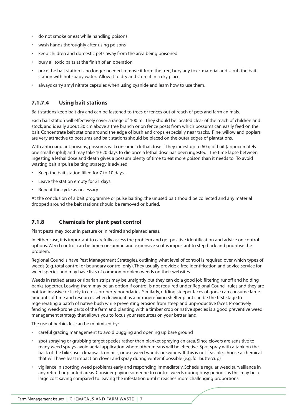- do not smoke or eat while handling poisons
- wash hands thoroughly after using poisons
- keep children and domestic pets away from the area being poisoned
- bury all toxic baits at the finish of an operation
- once the bait station is no longer needed, remove it from the tree, bury any toxic material and scrub the bait station with hot soapy water. Allow it to dry and store it in a dry place
- always carry amyl nitrate capsules when using cyanide and learn how to use them.

# **7.1.7.4 Using bait stations**

Bait stations keep bait dry and can be fastened to trees or fences out of reach of pets and farm animals.

Each bait station will effectively cover a range of 100 m. They should be located clear of the reach of children and stock, and ideally about 30 cm above a tree branch or on fence posts from which possums can easily feed on the bait. Concentrate bait stations around the edge of bush and crops, especially near tracks. Pine, willow and poplars are very attractive to possums and bait stations should be placed on the outer edges of plantations.

With anticoagulant poisons, possums will consume a lethal dose if they ingest up to 60 g of bait (approximately one small cupful) and may take 10-20 days to die once a lethal dose has been ingested. The time lapse between ingesting a lethal dose and death gives a possum plenty of time to eat more poison than it needs to. To avoid wasting bait, a 'pulse baiting' strategy is advised.

- Keep the bait station filled for 7 to 10 days.
- Leave the station empty for 21 days.
- Repeat the cycle as necessary.

At the conclusion of a bait programme or pulse baiting, the unused bait should be collected and any material dropped around the bait stations should be removed or buried.

# **7.1.8 Chemicals for plant pest control**

Plant pests may occur in pasture or in retired and planted areas.

In either case, it is important to carefully assess the problem and get positive identification and advice on control options. Weed control can be time-consuming and expensive so it is important to step back and prioritise the problem.

Regional Councils have Pest Management Strategies, outlining what level of control is required over which types of weeds (e.g. total control or boundary control only). They usually provide a free identification and advice service for weed species and may have lists of common problem weeds on their websites.

Weeds in retired areas or riparian strips may be unsightly but they can do a good job filtering runoff and holding banks together. Leaving them may be an option if control is not required under Regional Council rules and they are not too invasive or likely to cross property boundaries. Similarly, ridding steeper faces of gorse can consume large amounts of time and resources when leaving it as a nitrogen-fixing shelter plant can be the first stage to regenerating a patch of native bush while preventing erosion from steep and unproductive faces. Proactively fencing weed-prone parts of the farm and planting with a timber crop or native species is a good preventive weed management strategy that allows you to focus your resources on your better land.

The use of herbicides can be minimised by:

- careful grazing management to avoid pugging and opening up bare ground
- spot spraying or grubbing target species rather than blanket spraying an area. Since clovers are sensitive to many weed sprays, avoid aerial application where other means will be effective. Spot spray with a tank on the back of the bike, use a knapsack on hills, or use weed wands or swipers. If this is not feasible, choose a chemical that will have least impact on clover and spray during winter if possible (e.g. for buttercup)
- vigilance in spotting weed problems early and responding immediately. Schedule regular weed surveillance in any retired or planted areas. Consider paying someone to control weeds during busy periods as this may be a large cost saving compared to leaving the infestation until it reaches more challenging proportions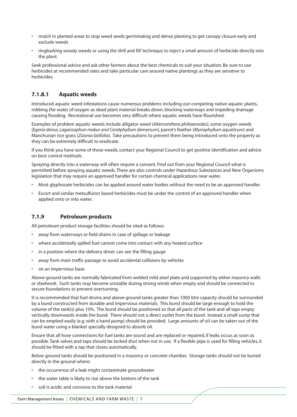- mulch in planted areas to stop weed seeds germinating and dense planting to get canopy closure early and exclude weeds
- ringbarking woody weeds or using the 'drill and fill' technique to inject a small amount of herbicide directly into the plant.

Seek professional advice and ask other farmers about the best chemicals to suit your situation. Be sure to use herbicides at recommended rates and take particular care around native plantings as they are sensitive to herbicides.

# **7.1.8.1 Aquatic weeds**

Introduced aquatic weed infestations cause numerous problems including out-competing native aquatic plants, robbing the water of oxygen as dead plant material breaks down, blocking waterways and impeding drainage causing flooding. Recreational use becomes very difficult where aquatic weeds have flourished.

Examples of problem aquatic weeds include alligator weed (*Alternanthera philoxeroides*), some oxygen weeds (*Egeria densa, Lagarosiphon makur and Ceratphyllum demersum*), parrot's feather (*Myriophyllum aquaticum*) and Manchurian rice grass (*Zizania latifolia*). Take precautions to prevent them being introduced onto the property as they can be extremely difficult to eradicate.

If you think you have some of these weeds, contact your Regional Council to get positive identification and advice on best control methods.

Spraying directly into a waterway will often require a consent. Find out from your Regional Council what is permitted before spraying aquatic weeds. There are also controls under Hazardous Substances and New Organisms legislation that may require an approved handler for certain chemical applications near water.

- Most glyphosate herbicides can be applied around water bodies without the need to be an approved handler.
- Escort and similar metsulfuron based herbicides must be under the control of an approved handler when applied onto or into water.

# **7.1.9 Petroleum products**

All petroleum product storage facilities should be sited as follows:

- away from waterways or field drains in case of spillage or leakage
- where accidentally spilled fuel cannot come into contact with any heated surface
- in a position where the delivery driver can see the filling gauge
- away from main traffic passage to avoid accidental collisions by vehicles
- on an impervious base.

Above-ground tanks are normally fabricated from welded mild steel plate and supported by either masonry walls or steelwork. Such tanks may become unstable during strong winds when empty and should be connected to secure foundations to prevent overturning.

It is recommended that fuel drums and above-ground tanks greater than 1000 litre capacity should be surrounded by a bund constructed from durable and impervious materials. This bund should be large enough to hold the volume of the tank(s) plus 10%. The bund should be positioned so that all parts of the tank and all taps empty vertically downwards inside the bund. There should not a direct outlet from the bund. Instead a small sump that can be emptied easily (e.g. with a hand pump) should be provided. Large amounts of oil can be taken out of the bund water using a blanket specially designed to absorb oil.

Ensure that all hose connections for fuel tanks are sound and are replaced or repaired, if leaks occur, as soon as possible. Tank valves and taps should be locked shut when not in use. If a flexible pipe is used for filling vehicles, it should be fitted with a tap that closes automatically.

Below ground tanks should be positioned in a masonry or concrete chamber. Storage tanks should not be buried directly in the ground where:

- the occurrence of a leak might contaminate groundwater
- the water table is likely to rise above the bottom of the tank
- soil is acidic and corrosive to the tank material.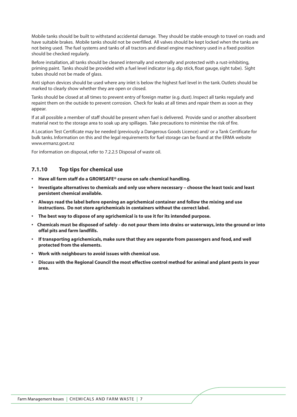Mobile tanks should be built to withstand accidental damage. They should be stable enough to travel on roads and have suitable brakes. Mobile tanks should not be overfilled. All valves should be kept locked when the tanks are not being used. The fuel systems and tanks of all tractors and diesel engine machinery used in a fixed position should be checked regularly.

Before installation, all tanks should be cleaned internally and externally and protected with a rust-inhibiting, priming paint. Tanks should be provided with a fuel level indicator (e.g. dip stick, float gauge, sight tube). Sight tubes should not be made of glass.

Anti siphon devices should be used where any inlet is below the highest fuel level in the tank. Outlets should be marked to clearly show whether they are open or closed.

Tanks should be closed at all times to prevent entry of foreign matter (e.g. dust). Inspect all tanks regularly and repaint them on the outside to prevent corrosion. Check for leaks at all times and repair them as soon as they appear.

If at all possible a member of staff should be present when fuel is delivered. Provide sand or another absorbent material next to the storage area to soak up any spillages. Take precautions to minimise the risk of fire.

A Location Test Certificate may be needed (previously a Dangerous Goods Licence) and/ or a Tank Certificate for bulk tanks. Information on this and the legal requirements for fuel storage can be found at the ERMA website www.ermanz.govt.nz

For information on disposal, refer to 7.2.2.5 Disposal of waste oil.

#### **7.1.10 Top tips for chemical use**

- **Have all farm staff do a GROWSAFE® course on safe chemical handling.**
- **Investigate alternatives to chemicals and only use where necessary choose the least toxic and least persistent chemical available.**
- **Always read the label before opening an agrichemical container and follow the mixing and use instructions. Do not store agrichemicals in containers without the correct label.**
- **The best way to dispose of any agrichemical is to use it for its intended purpose.**
- **Chemicals must be disposed of safely do not pour them into drains or waterways, into the ground or into offal pits and farm landfills.**
- **If transporting agrichemicals, make sure that they are separate from passengers and food, and well protected from the elements.**
- **Work with neighbours to avoid issues with chemical use.**
- **Discuss with the Regional Council the most effective control method for animal and plant pests in your area.**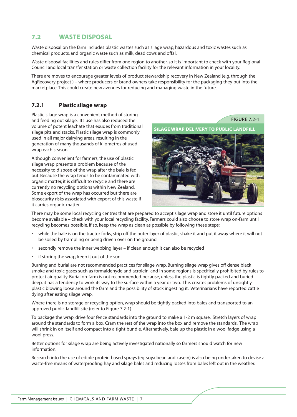# **7.2 WASTE DISPOSAL**

Waste disposal on the farm includes plastic wastes such as silage wrap, hazardous and toxic wastes such as chemical products, and organic waste such as milk, dead cows and offal.

Waste disposal facilities and rules differ from one region to another, so it is important to check with your Regional Council and local transfer station or waste collection facility for the relevant information in your locality.

There are moves to encourage greater levels of product stewardship recovery in New Zealand (e.g. through the AgRecovery project ) – where producers or brand owners take responsibility for the packaging they put into the marketplace. This could create new avenues for reducing and managing waste in the future.

# **7.2.1 Plastic silage wrap**

Plastic silage wrap is a convenient method of storing and feeding out silage. Its use has also reduced the volume of potent leachate that exudes from traditional silage pits and stacks. Plastic silage wrap is commonly used in all major dairying areas, resulting in the generation of many thousands of kilometres of used wrap each season.

Although convenient for farmers, the use of plastic silage wrap presents a problem because of the necessity to dispose of the wrap after the bale is fed out. Because the wrap tends to be contaminated with organic matter, it is difficult to recycle and there are currently no recycling options within New Zealand. Some export of the wrap has occurred but there are biosecurity risks associated with export of this waste if it carries organic matter.



There may be some local recycling centres that are prepared to accept silage wrap and store it until future options become available – check with your local recycling facility. Farmers could also choose to store wrap on-farm until recycling becomes possible. If so, keep the wrap as clean as possible by following these steps:

- while the bale is on the tractor forks, strip off the outer layer of plastic, shake it and put it away where it will not be soiled by trampling or being driven over on the ground
- secondly remove the inner webbing layer if clean enough it can also be recycled
- if storing the wrap, keep it out of the sun.

Burning and burial are not recommended practices for silage wrap. Burning silage wrap gives off dense black smoke and toxic gases such as formaldehyde and acrolein, and in some regions is specifically prohibited by rules to protect air quality. Burial on-farm is not recommended because, unless the plastic is tightly packed and buried deep, it has a tendency to work its way to the surface within a year or two. This creates problems of unsightly plastic blowing loose around the farm and the possibility of stock ingesting it. Veterinarians have reported cattle dying after eating silage wrap.

Where there is no storage or recycling option, wrap should be tightly packed into bales and transported to an approved public landfill site (refer to Figure 7.2-1).

To package the wrap, drive four fence standards into the ground to make a 1-2 m square. Stretch layers of wrap around the standards to form a box. Cram the rest of the wrap into the box and remove the standards. The wrap will shrink in on itself and compact into a tight bundle. Alternatively, bale up the plastic in a wool fadge using a wool press.

Better options for silage wrap are being actively investigated nationally so farmers should watch for new information.

Research into the use of edible protein based sprays (eg. soya bean and casein) is also being undertaken to devise a waste-free means of waterproofing hay and silage bales and reducing losses from bales left out in the weather.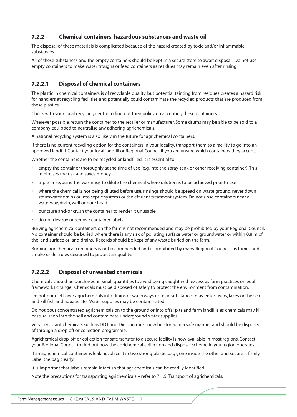# **7.2.2 Chemical containers, hazardous substances and waste oil**

The disposal of these materials is complicated because of the hazard created by toxic and/or inflammable substances.

All of these substances and the empty containers should be kept in a secure store to await disposal. Do not use empty containers to make water troughs or feed containers as residues may remain even after rinsing.

# **7.2.2.1 Disposal of chemical containers**

The plastic in chemical containers is of recyclable quality, but potential tainting from residues creates a hazard risk for handlers at recycling facilities and potentially could contaminate the recycled products that are produced from these plastics.

Check with your local recycling centre to find out their policy on accepting these containers.

Wherever possible, return the container to the retailer or manufacturer. Some drums may be able to be sold to a company equipped to neutralise any adhering agrichemicals.

A national recycling system is also likely in the future for agrichemical containers.

If there is no current recycling option for the containers in your locality, transport them to a facility to go into an approved landfill. Contact your local landfill or Regional Council if you are unsure which containers they accept.

Whether the containers are to be recycled or landfilled, it is essential to:

- empty the container thoroughly at the time of use (e.g. into the spray-tank or other receiving container). This minimises the risk and saves money
- triple rinse, using the washings to dilute the chemical where dilution is to be achieved prior to use
- where the chemical is not being diluted before use, rinsings should be spread on waste ground, never down stormwater drains or into septic systems or the effluent treatment system. Do not rinse containers near a waterway, drain, well or bore head
- puncture and/or crush the container to render it unusable
- do not destroy or remove container labels.

Burying agrichemical containers on the farm is not recommended and may be prohibited by your Regional Council. No container should be buried where there is any risk of polluting surface water or groundwater or within 0.8 m of the land surface or land drains. Records should be kept of any waste buried on the farm.

Burning agrichemical containers is not recommended and is prohibited by many Regional Councils as fumes and smoke under rules designed to protect air quality.

# **7.2.2.2 Disposal of unwanted chemicals**

Chemicals should be purchased in small quantities to avoid being caught with excess as farm practices or legal frameworks change. Chemicals must be disposed of safely to protect the environment from contamination.

Do not pour left over agrichemicals into drains or waterways or toxic substances may enter rivers, lakes or the sea and kill fish and aquatic life. Water supplies may be contaminated.

Do not pour concentrated agrichemicals on to the ground or into offal pits and farm landfills as chemicals may kill pasture, seep into the soil and contaminate underground water supplies.

Very persistant chemicals such as DDT and Dieldrin must now be stored in a safe manner and should be disposed of through a drop off or collection programme.

Agrichemical drop-off or collection for safe transfer to a secure facility is now available in most regions. Contact your Regional Council to find out how the agrichemical collection and disposal scheme in you region operates.

If an agrichemical container is leaking, place it in two strong plastic bags, one inside the other and secure it firmly. Label the bag clearly.

It is important that labels remain intact so that agrichemicals can be readily identified.

Note the precautions for transporting agrichemicals – refer to 7.1.5 Transport of agrichemicals.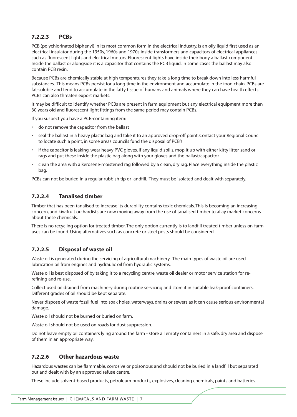# **7.2.2.3 PCBs**

PCB (polychlorinated biphenyl) in its most common form in the electrical industry, is an oily liquid first used as an electrical insulator during the 1950s, 1960s and 1970s inside transformers and capacitors of electrical appliances such as fluorescent lights and electrical motors. Fluorescent lights have inside their body a ballast component. Inside the ballast or alongside it is a capacitor that contains the PCB liquid. In some cases the ballast may also contain PCB resin.

Because PCBs are chemically stable at high temperatures they take a long time to break down into less harmful substances. This means PCBs persist for a long time in the environment and accumulate in the food chain. PCBs are fat-soluble and tend to accumulate in the fatty tissue of humans and animals where they can have health effects. PCBs can also threaten export markets.

It may be difficult to identify whether PCBs are present in farm equipment but any electrical equipment more than 30 years old and fluorescent light fittings from the same period may contain PCBs.

If you suspect you have a PCB-containing item:

- do not remove the capacitor from the ballast
- seal the ballast in a heavy plastic bag and take it to an approved drop-off point. Contact your Regional Council to locate such a point, in some areas councils fund the disposal of PCB's
- if the capacitor is leaking, wear heavy PVC gloves. If any liquid spills, mop it up with either kitty litter, sand or rags and put these inside the plastic bag along with your gloves and the ballast/capacitor
- clean the area with a kerosene-moistened rag followed by a clean, dry rag. Place everything inside the plastic bag.

PCBs can not be buried in a regular rubbish tip or landfill. They must be isolated and dealt with separately.

### **7.2.2.4 Tanalised timber**

Timber that has been tanalised to increase its durability contains toxic chemicals. This is becoming an increasing concern, and kiwifruit orchardists are now moving away from the use of tanalised timber to allay market concerns about these chemicals.

There is no recycling option for treated timber. The only option currently is to landfill treated timber unless on-farm uses can be found. Using alternatives such as concrete or steel posts should be considered.

# **7.2.2.5 Disposal of waste oil**

Waste oil is generated during the servicing of agricultural machinery. The main types of waste oil are used lubrication oil from engines and hydraulic oil from hydraulic systems.

Waste oil is best disposed of by taking it to a recycling centre, waste oil dealer or motor service station for rerefining and re-use.

Collect used oil drained from machinery during routine servicing and store it in suitable leak-proof containers. Different grades of oil should be kept separate.

Never dispose of waste fossil fuel into soak holes, waterways, drains or sewers as it can cause serious environmental damage.

Waste oil should not be burned or buried on farm.

Waste oil should not be used on roads for dust suppression.

Do not leave empty oil containers lying around the farm - store all empty containers in a safe, dry area and dispose of them in an appropriate way.

#### **7.2.2.6 Other hazardous waste**

Hazardous wastes can be flammable, corrosive or poisonous and should not be buried in a landfill but separated out and dealt with by an approved refuse centre.

These include solvent-based products, petroleum products, explosives, cleaning chemicals, paints and batteries.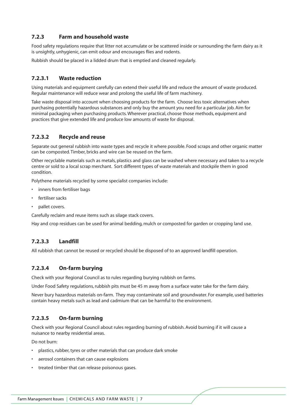# **7.2.3 Farm and household waste**

Food safety regulations require that litter not accumulate or be scattered inside or surrounding the farm dairy as it is unsightly, unhygienic, can emit odour and encourages flies and rodents.

Rubbish should be placed in a lidded drum that is emptied and cleaned regularly.

### **7.2.3.1 Waste reduction**

Using materials and equipment carefully can extend their useful life and reduce the amount of waste produced. Regular maintenance will reduce wear and prolong the useful life of farm machinery.

Take waste disposal into account when choosing products for the farm. Choose less toxic alternatives when purchasing potentially hazardous substances and only buy the amount you need for a particular job. Aim for minimal packaging when purchasing products. Wherever practical, choose those methods, equipment and practices that give extended life and produce low amounts of waste for disposal.

### **7.2.3.2 Recycle and reuse**

Separate out general rubbish into waste types and recycle it where possible. Food scraps and other organic matter can be composted. Timber, bricks and wire can be reused on the farm.

Other recyclable materials such as metals, plastics and glass can be washed where necessary and taken to a recycle centre or sold to a local scrap merchant. Sort different types of waste materials and stockpile them in good condition.

Polythene materials recycled by some specialist companies include:

- inners from fertiliser bags
- fertiliser sacks
- pallet covers.

Carefully reclaim and reuse items such as silage stack covers.

Hay and crop residues can be used for animal bedding, mulch or composted for garden or cropping land use.

#### **7.2.3.3 Landfill**

All rubbish that cannot be reused or recycled should be disposed of to an approved landfill operation.

#### **7.2.3.4 On-farm burying**

Check with your Regional Council as to rules regarding burying rubbish on farms.

Under Food Safety regulations, rubbish pits must be 45 m away from a surface water take for the farm dairy.

Never bury hazardous materials on-farm. They may contaminate soil and groundwater. For example, used batteries contain heavy metals such as lead and cadmium that can be harmful to the environment.

# **7.2.3.5 On-farm burning**

Check with your Regional Council about rules regarding burning of rubbish. Avoid burning if it will cause a nuisance to nearby residential areas.

Do not burn:

- plastics, rubber, tyres or other materials that can produce dark smoke
- aerosol containers that can cause explosions
- treated timber that can release poisonous gases.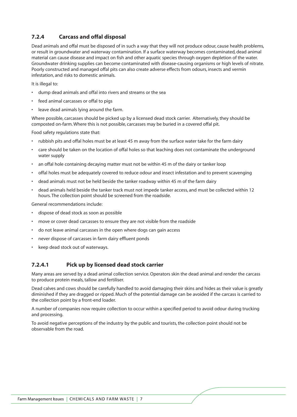# **7.2.4 Carcass and offal disposal**

Dead animals and offal must be disposed of in such a way that they will not produce odour, cause health problems, or result in groundwater and waterway contamination. If a surface waterway becomes contaminated, dead animal material can cause disease and impact on fish and other aquatic species through oxygen depletion of the water. Groundwater drinking supplies can become contaminated with disease-causing organisms or high levels of nitrate. Poorly constructed and managed offal pits can also create adverse effects from odours, insects and vermin infestation, and risks to domestic animals.

It is illegal to:

- dump dead animals and offal into rivers and streams or the sea
- feed animal carcasses or offal to pigs
- leave dead animals lying around the farm.

Where possible, carcasses should be picked up by a licensed dead stock carrier. Alternatively, they should be composted on-farm. Where this is not possible, carcasses may be buried in a covered offal pit.

Food safety regulations state that:

- rubbish pits and offal holes must be at least 45 m away from the surface water take for the farm dairy
- care should be taken on the location of offal holes so that leaching does not contaminate the underground water supply
- an offal hole containing decaying matter must not be within 45 m of the dairy or tanker loop
- offal holes must be adequately covered to reduce odour and insect infestation and to prevent scavenging
- dead animals must not be held beside the tanker roadway within 45 m of the farm dairy
- dead animals held beside the tanker track must not impede tanker access, and must be collected within 12 hours. The collection point should be screened from the roadside.

General recommendations include:

- dispose of dead stock as soon as possible
- move or cover dead carcasses to ensure they are not visible from the roadside
- do not leave animal carcasses in the open where dogs can gain access
- never dispose of carcasses in farm dairy effluent ponds
- keep dead stock out of waterways.

# **7.2.4.1 Pick up by licensed dead stock carrier**

Many areas are served by a dead animal collection service. Operators skin the dead animal and render the carcass to produce protein meals, tallow and fertiliser.

Dead calves and cows should be carefully handled to avoid damaging their skins and hides as their value is greatly diminished if they are dragged or ripped. Much of the potential damage can be avoided if the carcass is carried to the collection point by a front-end loader.

A number of companies now require collection to occur within a specified period to avoid odour during trucking and processing.

To avoid negative perceptions of the industry by the public and tourists, the collection point should not be observable from the road.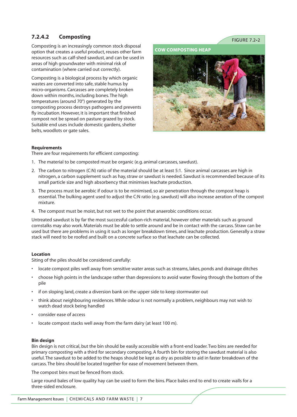# **7.2.4.2 Composting**

Composting is an increasingly common stock disposal option that creates a useful product, reuses other farm resources such as calf-shed sawdust, and can be used in areas of high groundwater with minimal risk of contamination (where carried out correctly).

Composting is a biological process by which organic wastes are converted into safe, stable humus by micro-organisms. Carcasses are completely broken down within months, including bones. The high temperatures (around 70°) generated by the composting process destroys pathogens and prevents fly incubation. However, it is important that finished compost not be spread on pasture grazed by stock. Suitable end uses include domestic gardens, shelter belts, woodlots or gate sales.

FIGURE 7 2-2





#### **Requirements**

There are four requirements for efficient composting:

- 1. The material to be composted must be organic (e.g. animal carcasses, sawdust).
- 2. The carbon to nitrogen (C:N) ratio of the material should be at least 5:1. Since animal carcasses are high in nitrogen, a carbon supplement such as hay, straw or sawdust is needed. Sawdust is recommended because of its small particle size and high absorbency that minimises leachate production.
- 3. The process must be aerobic if odour is to be minimised, so air penetration through the compost heap is essential. The bulking agent used to adjust the C:N ratio (e.g. sawdust) will also increase aeration of the compost mixture.
- 4. The compost must be moist, but not wet to the point that anaerobic conditions occur.

Untreated sawdust is by far the most successful carbon-rich material, however other materials such as ground cornstalks may also work. Materials must be able to settle around and be in contact with the carcass. Straw can be used but there are problems in using it such as longer breakdown times, and leachate production. Generally a straw stack will need to be roofed and built on a concrete surface so that leachate can be collected.

#### **Location**

Siting of the piles should be considered carefully:

- locate compost piles well away from sensitive water areas such as streams, lakes, ponds and drainage ditches
- choose high points in the landscape rather than depressions to avoid water flowing through the bottom of the pile
- if on sloping land, create a diversion bank on the upper side to keep stormwater out
- think about neighbouring residences. While odour is not normally a problem, neighbours may not wish to watch dead stock being handled
- consider ease of access
- locate compost stacks well away from the farm dairy (at least 100 m).

#### **Bin design**

Bin design is not critical, but the bin should be easily accessible with a front-end loader. Two bins are needed for primary composting with a third for secondary composting. A fourth bin for storing the sawdust material is also useful. The sawdust to be added to the heaps should be kept as dry as possible to aid in faster breakdown of the carcass. The bins should be located together for ease of movement between them.

The compost bins must be fenced from stock.

Large round bales of low quality hay can be used to form the bins. Place bales end to end to create walls for a three-sided enclosure.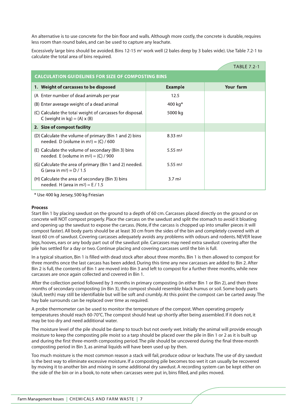An alternative is to use concrete for the bin floor and walls. Although more costly, the concrete is durable, requires less room than round bales, and can be used to capture any leachate.

Excessively large bins should be avoided. Bins 12-15  $m^2$  work well (2 bales deep by 3 bales wide). Use Table 7.2-1 to calculate the total area of bins required.

|                                                                                                     |                    | <b>TABLE 7.2-1</b> |  |  |  |
|-----------------------------------------------------------------------------------------------------|--------------------|--------------------|--|--|--|
| <b>CALCULATION GUIDELINES FOR SIZE OF COMPOSTING BINS</b>                                           |                    |                    |  |  |  |
| 1. Weight of carcasses to be disposed                                                               | <b>Example</b>     | Your farm          |  |  |  |
| (A Enter number of dead animals per year                                                            | 12.5               |                    |  |  |  |
| (B) Enter average weight of a dead animal                                                           | 400 kg $*$         |                    |  |  |  |
| (C) Calculate the total weight of carcasses for disposal.<br>C (weight in kg) = $(A) \times (B)$    | 5000 kg            |                    |  |  |  |
| 2. Size of compost facility                                                                         |                    |                    |  |  |  |
| (D) Calculate the volume of primary (Bin 1 and 2) bins<br>needed. D (volume in $m^3$ ) = (C) / 600  | $8.33 \text{ m}^3$ |                    |  |  |  |
| (E) Calculate the volume of secondary (Bin 3) bins<br>needed. E (volume in $m^3$ ) = (C) / 900      | $5.55 \text{ m}^3$ |                    |  |  |  |
| (G) Calculate the area of primary (Bin 1 and 2) needed.<br>G (area in m <sup>2</sup> ) = $D / 1.5$  | $5.55 \text{ m}^2$ |                    |  |  |  |
| (H) Calculate the area of secondary (Bin 3) bins<br>needed. H (area in m <sup>2</sup> ) = $E / 1.5$ | $3.7 \text{ m}^2$  |                    |  |  |  |

\* Use 400 kg Jersey, 500 kg Friesian

#### **Process**

Start Bin 1 by placing sawdust on the ground to a depth of 60 cm. Carcasses placed directly on the ground or on concrete will NOT compost properly. Place the carcass on the sawdust and split the stomach to avoid it bloating and opening up the sawdust to expose the carcass. (Note, if the carcass is chopped up into smaller pieces it will compost faster). All body parts should be at least 30 cm from the sides of the bin and completely covered with at least 60 cm of sawdust. Covering carcasses adequately avoids any problems with odours and rodents. NEVER leave legs, hooves, ears or any body part out of the sawdust pile. Carcasses may need extra sawdust covering after the pile has settled for a day or two. Continue placing and covering carcasses until the bin is full.

In a typical situation, Bin 1 is filled with dead stock after about three months. Bin 1 is then allowed to compost for three months once the last carcass has been added. During this time any new carcasses are added to Bin 2. After Bin 2 is full, the contents of Bin 1 are moved into Bin 3 and left to compost for a further three months, while new carcasses are once again collected and covered in Bin 1.

After the collection period followed by 3 months in primary composting (in either Bin 1 or Bin 2), and then three months of secondary composting (in Bin 3), the compost should resemble black humus or soil. Some body parts (skull, teeth) may still be identifiable but will be soft and crumbly. At this point the compost can be carted away. The hay bale surrounds can be replaced over time as required.

A probe thermometer can be used to monitor the temperature of the compost. When operating properly temperatures should reach 60-70°C. The compost should heat up shortly after being assembled. If it does not, it may be too dry and need additional water.

The moisture level of the pile should be damp to touch but not overly wet. Initially the animal will provide enough moisture to keep the composting pile moist so a tarp should be placed over the pile in Bin 1 or 2 as it is built up and during the first three-month composting period. The pile should be uncovered during the final three-month composting period in Bin 3, as animal liquids will have been used up by then.

Too much moisture is the most common reason a stack will fail, produce odour or leachate. The use of dry sawdust is the best way to eliminate excessive moisture. If a composting pile becomes too wet it can usually be recovered by moving it to another bin and mixing in some additional dry sawdust. A recording system can be kept either on the side of the bin or in a book, to note when carcasses were put in, bins filled, and piles moved.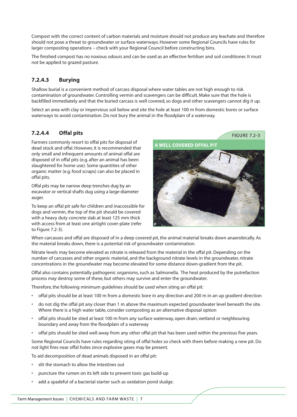Compost with the correct content of carbon materials and moisture should not produce any leachate and therefore should not pose a threat to groundwater or surface waterways. However some Regional Councils have rules for larger composting operations – check with your Regional Council before constructing bins.

The finished compost has no noxious odours and can be used as an effective fertiliser and soil conditioner. It must not be applied to grazed pasture.

# **7.2.4.3 Burying**

Shallow burial is a convenient method of carcass disposal where water tables are not high enough to risk contamination of groundwater. Controlling vermin and scavengers can be difficult. Make sure that the hole is backfilled immediately and that the buried carcass is well covered, so dogs and other scavengers cannot dig it up.

Select an area with clay or impervious soil below and site the hole at least 100 m from domestic bores or surface waterways to avoid contamination. Do not bury the animal in the floodplain of a waterway.

# **7.2.4.4 Offal pits**

Farmers commonly resort to offal pits for disposal of dead stock and offal. However, it is recommended that only small and infrequent amounts of animal offal are disposed of in offal pits (e.g. after an animal has been slaughtered for home use). Some quantities of other organic matter (e.g. food scraps) can also be placed in offal pits.

Offal pits may be narrow deep trenches dug by an excavator or vertical shafts dug using a large-diameter auger.

To keep an offal pit safe for children and inaccessible for dogs and vermin, the top of the pit should be covered with a heavy duty concrete slab at least 125 mm thick with access from at least one airtight cover-plate (refer to Figure 7.2-3).



FIGURE 7.2-3

When carcasses and offal are disposed of in a deep covered pit, the animal material breaks down anaerobically. As the material breaks down, there is a potential risk of groundwater contamination.

Nitrate levels may become elevated as nitrate is released from the material in the offal pit. Depending on the number of carcasses and other organic material, and the background nitrate levels in the groundwater, nitrate concentrations in the groundwater may become elevated for some distance down-gradient from the pit.

Offal also contains potentially pathogenic organisms, such as Salmonella. The heat produced by the putrefaction process may destroy some of these, but others may survive and enter the groundwater.

Therefore, the following minimum guidelines should be used when siting an offal pit:

- offal pits should be at least 100 m from a domestic bore in any direction and 200 m in an up gradient direction
- do not dig the offal pit any closer than 1 m above the maximum expected groundwater level beneath the site. Where there is a high water table, consider composting as an alternative disposal option
- offal pits should be sited at least 100 m from any surface waterway, open drain, wetland or neighbouring boundary and away from the floodplain of a waterway
- offal pits should be sited well away from any other offal pit that has been used within the previous five years.

Some Regional Councils have rules regarding siting of offal holes so check with them before making a new pit. Do not light fires near offal holes since explosive gases may be present.

To aid decomposition of dead animals disposed in an offal pit:

- slit the stomach to allow the intestines out
- puncture the rumen on its left side to prevent toxic gas build-up
- add a spadeful of a bacterial starter such as oxidation pond sludge.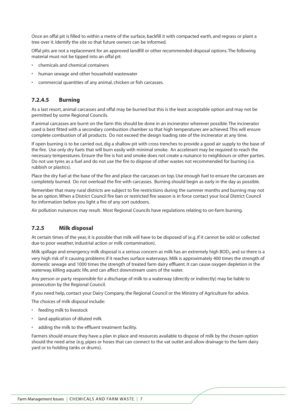Once an offal pit is filled to within a metre of the surface, backfill it with compacted earth, and regrass or plant a tree over it. Identify the site so that future owners can be informed.

Offal pits are not a replacement for an approved landfill or other recommended disposal options. The following material must not be tipped into an offal pit:

- chemicals and chemical containers
- human sewage and other household wastewater
- commercial quantities of any animal, chicken or fish carcasses.

### **7.2.4.5 Burning**

As a last resort, animal carcasses and offal may be burned but this is the least acceptable option and may not be permitted by some Regional Councils.

If animal carcasses are burnt on the farm this should be done in an incinerator wherever possible. The incinerator used is best fitted with a secondary combustion chamber so that high temperatures are achieved. This will ensure complete combustion of all products. Do not exceed the design loading rate of the incinerator at any time.

If open burning is to be carried out, dig a shallow pit with cross trenches to provide a good air supply to the base of the fire. Use only dry fuels that will burn easily with minimal smoke. An accelerant may be required to reach the necessary temperatures. Ensure the fire is hot and smoke does not create a nuisance to neighbours or other parties. Do not use tyres as a fuel and do not use the fire to dispose of other wastes not recommended for burning (i.e. rubbish or plastics).

Place the dry fuel at the base of the fire and place the carcasses on top. Use enough fuel to ensure the carcasses are completely burned. Do not overload the fire with carcasses. Burning should begin as early in the day as possible.

Remember that many rural districts are subject to fire restrictions during the summer months and burning may not be an option. When a District Council fire ban or restricted fire season is in force contact your local District Council for information before you light a fire of any sort outdoors.

Air pollution nuisances may result. Most Regional Councils have regulations relating to on-farm burning.

#### **7.2.5 Milk disposal**

At certain times of the year, it is possible that milk will have to be disposed of (e.g. if it cannot be sold or collected due to poor weather, industrial action or milk contamination).

Milk spillage and emergency milk disposal is a serious concern as milk has an extremely high BOD<sub>5</sub> and so there is a very high risk of it causing problems if it reaches surface waterways. Milk is approximately 400 times the strength of domestic sewage and 1000 times the strength of treated farm dairy effluent. It can cause oxygen depletion in the waterway, killing aquatic life, and can affect downstream users of the water.

Any person or party responsible for a discharge of milk to a waterway (directly or indirectly) may be liable to prosecution by the Regional Council.

If you need help, contact your Dairy Company, the Regional Council or the Ministry of Agriculture for advice.

The choices of milk disposal include:

- feeding milk to livestock
- land application of diluted milk
- adding the milk to the effluent treatment facility.

Farmers should ensure they have a plan in place and resources available to dispose of milk by the chosen option should the need arise (e.g. pipes or hoses that can connect to the vat outlet and allow drainage to the farm dairy yard or to holding tanks or drums).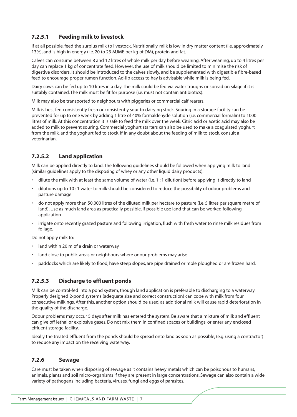# **7.2.5.1 Feeding milk to livestock**

If at all possible, feed the surplus milk to livestock. Nutritionally, milk is low in dry matter content (i.e. approximately 13%), and is high in energy (i.e. 20 to 23 MJME per kg of DM), protein and fat.

Calves can consume between 8 and 12 litres of whole milk per day before weaning. After weaning, up to 4 litres per day can replace 1 kg of concentrate feed. However, the use of milk should be limited to minimise the risk of digestive disorders. It should be introduced to the calves slowly, and be supplemented with digestible fibre-based feed to encourage proper rumen function. Ad-lib access to hay is advisable while milk is being fed.

Dairy cows can be fed up to 10 litres in a day. The milk could be fed via water troughs or spread on silage if it is suitably contained. The milk must be fit for purpose (i.e. must not contain antibiotics).

Milk may also be transported to neighbours with piggeries or commercial calf rearers.

Milk is best fed consistently fresh or consistently sour to dairying stock. Souring in a storage facility can be prevented for up to one week by adding 1 litre of 40% formaldehyde solution (i.e. commercial formalin) to 1000 litres of milk. At this concentration it is safe to feed the milk over the week. Citric acid or acetic acid may also be added to milk to prevent souring. Commercial yoghurt starters can also be used to make a coagulated yoghurt from the milk, and the yoghurt fed to stock. If in any doubt about the feeding of milk to stock, consult a veterinarian.

# **7.2.5.2 Land application**

Milk can be applied directly to land. The following guidelines should be followed when applying milk to land (similar guidelines apply to the disposing of whey or any other liquid dairy products):

- dilute the milk with at least the same volume of water (i.e. 1 : 1 dilution) before applying it directly to land
- dilutions up to 10 : 1 water to milk should be considered to reduce the possibility of odour problems and pasture damage
- do not apply more than 50,000 litres of the diluted milk per hectare to pasture (i.e. 5 litres per square metre of land). Use as much land area as practically possible. If possible use land that can be worked following application
- irrigate onto recently grazed pasture and following irrigation, flush with fresh water to rinse milk residues from foliage.

Do not apply milk to:

- land within 20 m of a drain or waterway
- land close to public areas or neighbours where odour problems may arise
- paddocks which are likely to flood, have steep slopes, are pipe drained or mole ploughed or are frozen hard.

# **7.2.5.3 Discharge to effluent ponds**

Milk can be control-fed into a pond system, though land application is preferable to discharging to a waterway. Properly designed 2-pond systems (adequate size and correct construction) can cope with milk from four consecutive milkings. After this, another option should be used, as additional milk will cause rapid deterioration in the quality of the discharge.

Odour problems may occur 5 days after milk has entered the system. Be aware that a mixture of milk and effluent can give off lethal or explosive gases. Do not mix them in confined spaces or buildings, or enter any enclosed effluent storage facility.

Ideally the treated effluent from the ponds should be spread onto land as soon as possible, (e.g. using a contractor) to reduce any impact on the receiving waterway.

#### **7.2.6 Sewage**

Care must be taken when disposing of sewage as it contains heavy metals which can be poisonous to humans, animals, plants and soil micro-organisms if they are present in large concentrations. Sewage can also contain a wide variety of pathogens including bacteria, viruses, fungi and eggs of parasites.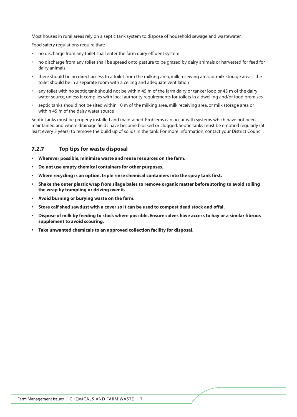Most houses in rural areas rely on a septic tank system to dispose of household sewage and wastewater.

Food safety regulations require that:

- no discharge from any toilet shall enter the farm dairy effluent system
- no discharge from any toilet shall be spread onto pasture to be grazed by dairy animals or harvested for feed for dairy animals
- there should be no direct access to a toilet from the milking area, milk receiving area, or milk storage area the toilet should be in a separate room with a ceiling and adequate ventilation
- any toilet with no septic tank should not be within 45 m of the farm dairy or tanker loop or 45 m of the dairy water source, unless it complies with local authority requirements for toilets in a dwelling and/or food premises
- septic tanks should not be sited within 10 m of the milking area, milk receiving area, or milk storage area or within 45 m of the dairy water source

Septic tanks must be properly installed and maintained. Problems can occur with systems which have not been maintained and where drainage fields have become blocked or clogged. Septic tanks must be emptied regularly (at least every 3 years) to remove the build up of solids in the tank. For more information, contact your District Council.

### **7.2.7 Top tips for waste disposal**

- **Wherever possible, minimise waste and reuse resources on the farm.**
- **Do not use empty chemical containers for other purposes.**
- **Where recycling is an option, triple rinse chemical containers into the spray tank first.**
- **Shake the outer plastic wrap from silage bales to remove organic matter before storing to avoid soiling the wrap by trampling or driving over it.**
- **Avoid burning or burying waste on the farm.**
- **Store calf shed sawdust with a cover so it can be used to compost dead stock and offal.**
- **Dispose of milk by feeding to stock where possible. Ensure calves have access to hay or a similar fibrous supplement to avoid scouring.**
- **Take unwanted chemicals to an approved collection facility for disposal.**